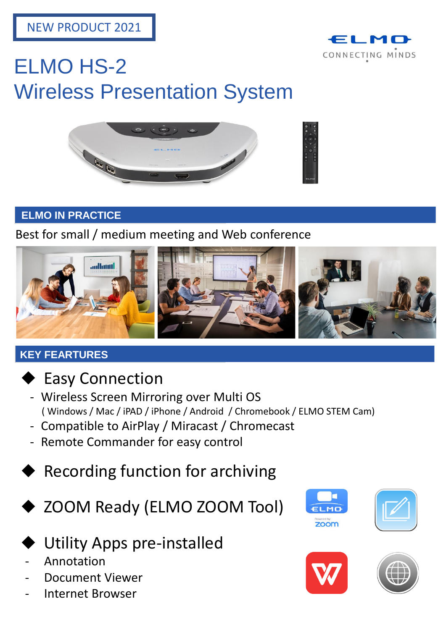

# ELMO HS-2 Wireless Presentation System



### **ELMO IN PRACTICE**

Best for small / medium meeting and Web conference



## **KEY FEARTURES**



- **Easy Connection**
- Wireless Screen Mirroring over Multi OS ( Windows / Mac / iPAD / iPhone / Android / Chromebook / ELMO STEM Cam)
- Compatible to AirPlay / Miracast / Chromecast
- Remote Commander for easy control
- ◆ Recording function for archiving
	- ZOOM Ready (ELMO ZOOM Tool)

## **Utility Apps pre-installed**

- **Annotation**
- Document Viewer
- Internet Browser